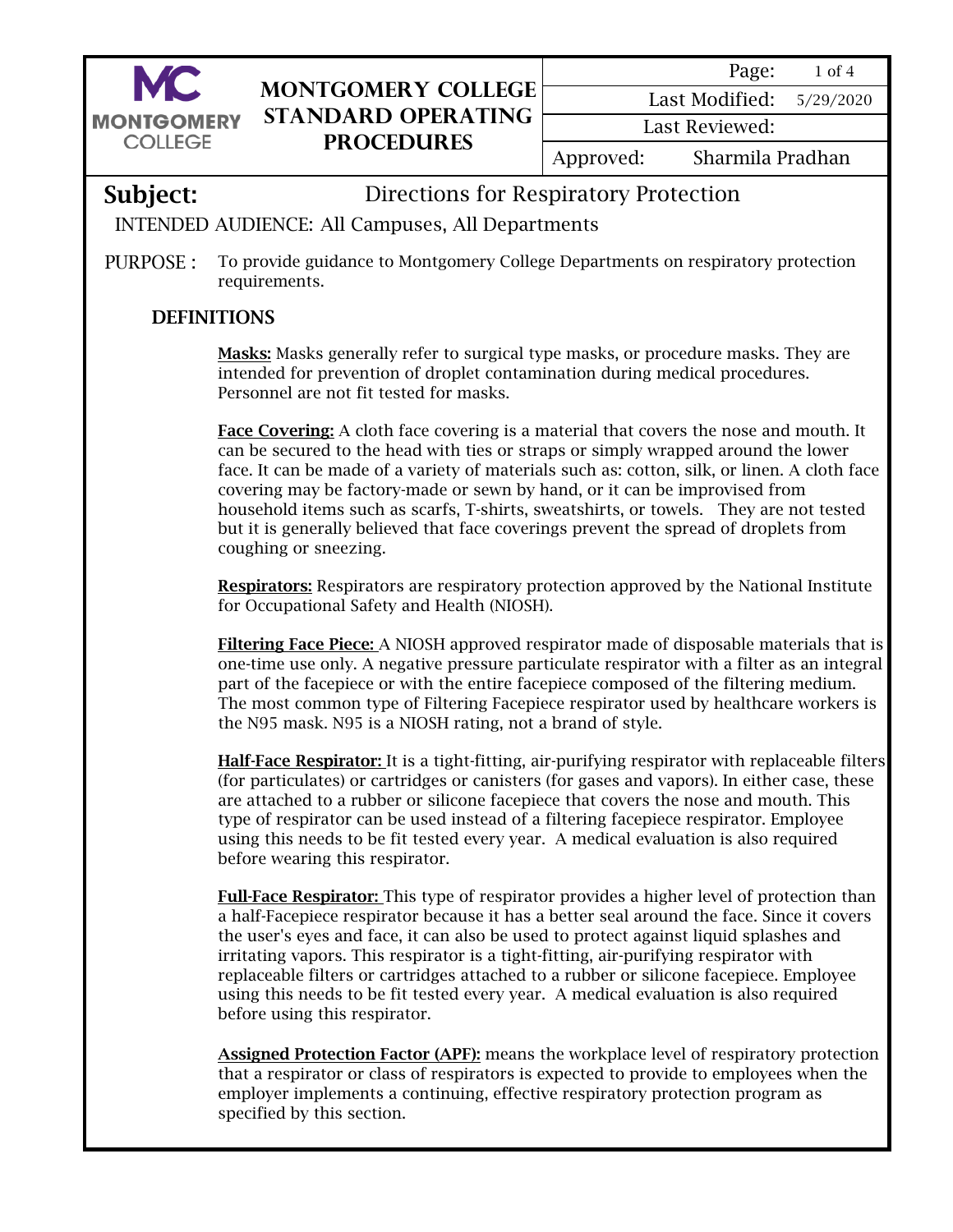

## **Montgomery College Standard Operating Procedures**

5/29/2020 Last Modified:

Last Reviewed:

Approved: Sharmila Pradhan

## Subject: Directions for Respiratory Protection

## INTENDED AUDIENCE: All Campuses, All Departments

PURPOSE : To provide guidance to Montgomery College Departments on respiratory protection requirements.

## DEFINITIONS

Masks: Masks generally refer to surgical type masks, or procedure masks. They are intended for prevention of droplet contamination during medical procedures. Personnel are not fit tested for masks.

Face Covering: A cloth face covering is a material that covers the nose and mouth. It can be secured to the head with ties or straps or simply wrapped around the lower face. It can be made of a variety of materials such as: cotton, silk, or linen. A cloth face covering may be factory-made or sewn by hand, or it can be improvised from household items such as scarfs, T-shirts, sweatshirts, or towels. They are not tested but it is generally believed that face coverings prevent the spread of droplets from coughing or sneezing.

Respirators: Respirators are respiratory protection approved by the National Institute for Occupational Safety and Health (NIOSH).

Filtering Face Piece: A NIOSH approved respirator made of disposable materials that is one-time use only. A negative pressure particulate respirator with a filter as an integral part of the facepiece or with the entire facepiece composed of the filtering medium. The most common type of Filtering Facepiece respirator used by healthcare workers is the N95 mask. N95 is a NIOSH rating, not a brand of style.

Half-Face Respirator: It is a tight-fitting, air-purifying respirator with replaceable filters (for particulates) or cartridges or canisters (for gases and vapors). In either case, these are attached to a rubber or silicone facepiece that covers the nose and mouth. This type of respirator can be used instead of a filtering facepiece respirator. Employee using this needs to be fit tested every year. A medical evaluation is also required before wearing this respirator.

Full-Face Respirator: This type of respirator provides a higher level of protection than a half-Facepiece respirator because it has a better seal around the face. Since it covers the user's eyes and face, it can also be used to protect against liquid splashes and irritating vapors. This respirator is a tight-fitting, air-purifying respirator with replaceable filters or cartridges attached to a rubber or silicone facepiece. Employee using this needs to be fit tested every year. A medical evaluation is also required before using this respirator.

**Assigned Protection Factor (APF):** means the workplace level of respiratory protection that a respirator or class of respirators is expected to provide to employees when the employer implements a continuing, effective respiratory protection program as specified by this section.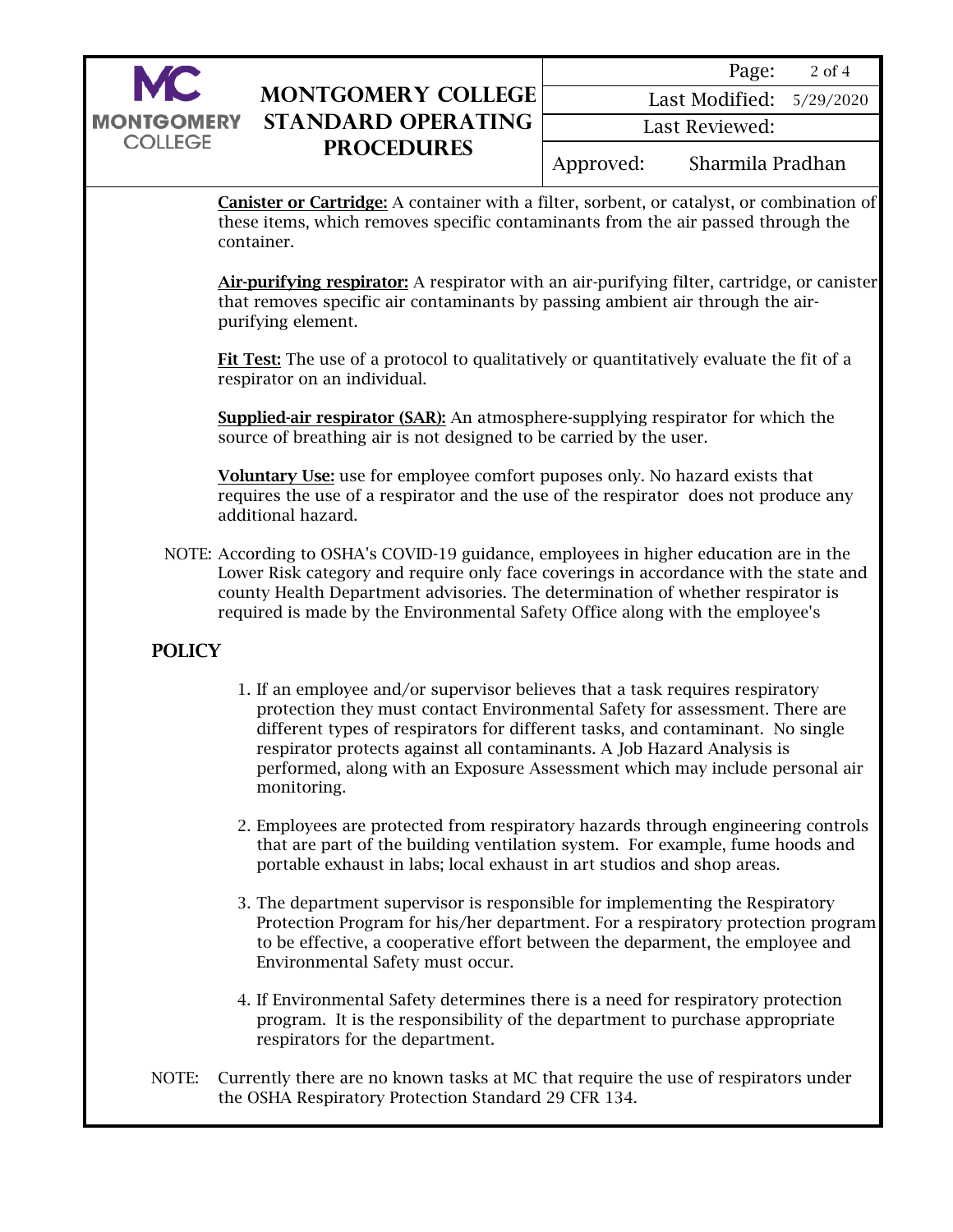

| <b>MONTGOMERY COLLEGE</b> |
|---------------------------|
| STANDARD OPERATING        |
| <b>PROCEDURES</b>         |
|                           |

|                | Page:                      | 2 of 4 |  |  |  |
|----------------|----------------------------|--------|--|--|--|
|                | Last Modified: $5/29/2020$ |        |  |  |  |
| Last Reviewed: |                            |        |  |  |  |
| Approved:      | Sharmila Pradhan           |        |  |  |  |

Canister or Cartridge: A container with a filter, sorbent, or catalyst, or combination of these items, which removes specific contaminants from the air passed through the container.

Air-purifying respirator: A respirator with an air-purifying filter, cartridge, or canister that removes specific air contaminants by passing ambient air through the airpurifying element.

Fit Test: The use of a protocol to qualitatively or quantitatively evaluate the fit of a respirator on an individual.

Supplied-air respirator (SAR): An atmosphere-supplying respirator for which the source of breathing air is not designed to be carried by the user.

Voluntary Use: use for employee comfort puposes only. No hazard exists that requires the use of a respirator and the use of the respirator does not produce any additional hazard.

NOTE: According to OSHA's COVID-19 guidance, employees in higher education are in the Lower Risk category and require only face coverings in accordance with the state and county Health Department advisories. The determination of whether respirator is required is made by the Environmental Safety Office along with the employee's

### POLICY

- 1. If an employee and/or supervisor believes that a task requires respiratory protection they must contact Environmental Safety for assessment. There are different types of respirators for different tasks, and contaminant. No single respirator protects against all contaminants. A Job Hazard Analysis is performed, along with an Exposure Assessment which may include personal air monitoring.
- 2. Employees are protected from respiratory hazards through engineering controls that are part of the building ventilation system. For example, fume hoods and portable exhaust in labs; local exhaust in art studios and shop areas.
- 3. The department supervisor is responsible for implementing the Respiratory Protection Program for his/her department. For a respiratory protection program to be effective, a cooperative effort between the deparment, the employee and Environmental Safety must occur.
- 4. If Environmental Safety determines there is a need for respiratory protection program. It is the responsibility of the department to purchase appropriate respirators for the department.
- NOTE: Currently there are no known tasks at MC that require the use of respirators under the OSHA Respiratory Protection Standard 29 CFR 134.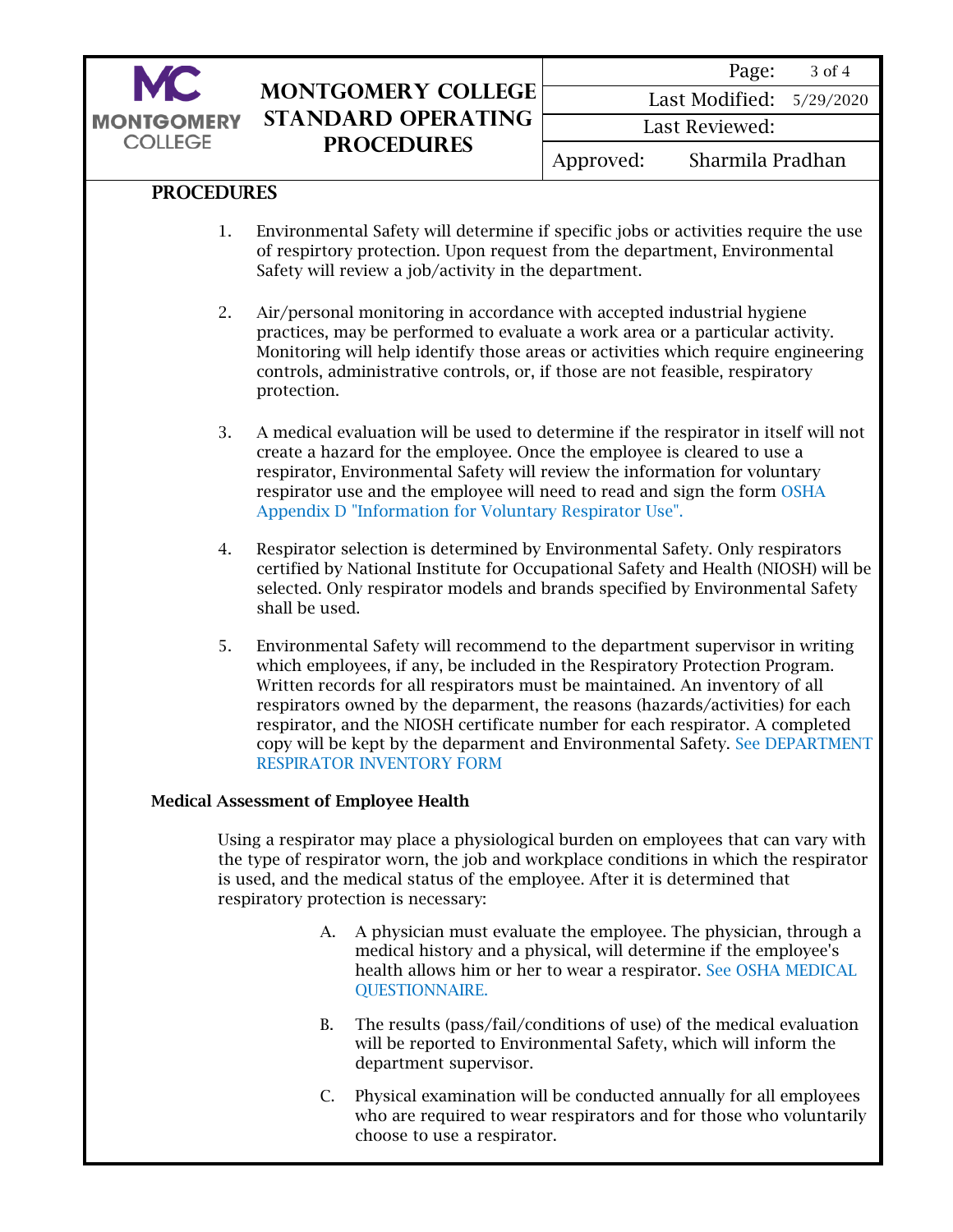

## **Montgomery College Standard Operating Procedures**

|                | Page:                      | 3 of 4 |  |  |  |
|----------------|----------------------------|--------|--|--|--|
|                | Last Modified: $5/29/2020$ |        |  |  |  |
| Last Reviewed: |                            |        |  |  |  |
| Approved:      | Sharmila Pradhan           |        |  |  |  |

#### PROCEDURES

- 1. Environmental Safety will determine if specific jobs or activities require the use of respirtory protection. Upon request from the department, Environmental Safety will review a job/activity in the department.
- 2. Air/personal monitoring in accordance with accepted industrial hygiene practices, may be performed to evaluate a work area or a particular activity. Monitoring will help identify those areas or activities which require engineering controls, administrative controls, or, if those are not feasible, respiratory protection.
- 3. A medical evaluation will be used to determine if the respirator in itself will not create a hazard for the employee. Once the employee is cleared to use a respirator, Environmental Safety will review the information for voluntary [respirator use and the employee will need to read and sign the form OSHA](#page-4-0)  Appendix D "Information for Voluntary Respirator Use".
- 4. Respirator selection is determined by Environmental Safety. Only respirators certified by National Institute for Occupational Safety and Health (NIOSH) will be selected. Only respirator models and brands specified by Environmental Safety shall be used.
- 5. Environmental Safety will recommend to the department supervisor in writing which employees, if any, be included in the Respiratory Protection Program. Written records for all respirators must be maintained. An inventory of all respirators owned by the deparment, the reasons (hazards/activities) for each respirator, and the NIOSH certificate number for each respirator. A completed [copy will be kept by the deparment and Environmental Safety. See DEPARTMENT](#page-5-0)  RESPIRATOR INVENTORY FORM

#### Medical Assessment of Employee Health

Using a respirator may place a physiological burden on employees that can vary with the type of respirator worn, the job and workplace conditions in which the respirator is used, and the medical status of the employee. After it is determined that respiratory protection is necessary:

- A. A physician must evaluate the employee. The physician, through a medical history and a physical, will determine if the employee's [health allows him or her to wear a respirator. See OSHA MEDICAL](https://www.osha.gov/laws-regs/regulations/standardnumber/1910/1910.134AppC) QUESTIONNAIRE.
- B. The results (pass/fail/conditions of use) of the medical evaluation will be reported to Environmental Safety, which will inform the department supervisor.
- C. Physical examination will be conducted annually for all employees who are required to wear respirators and for those who voluntarily choose to use a respirator.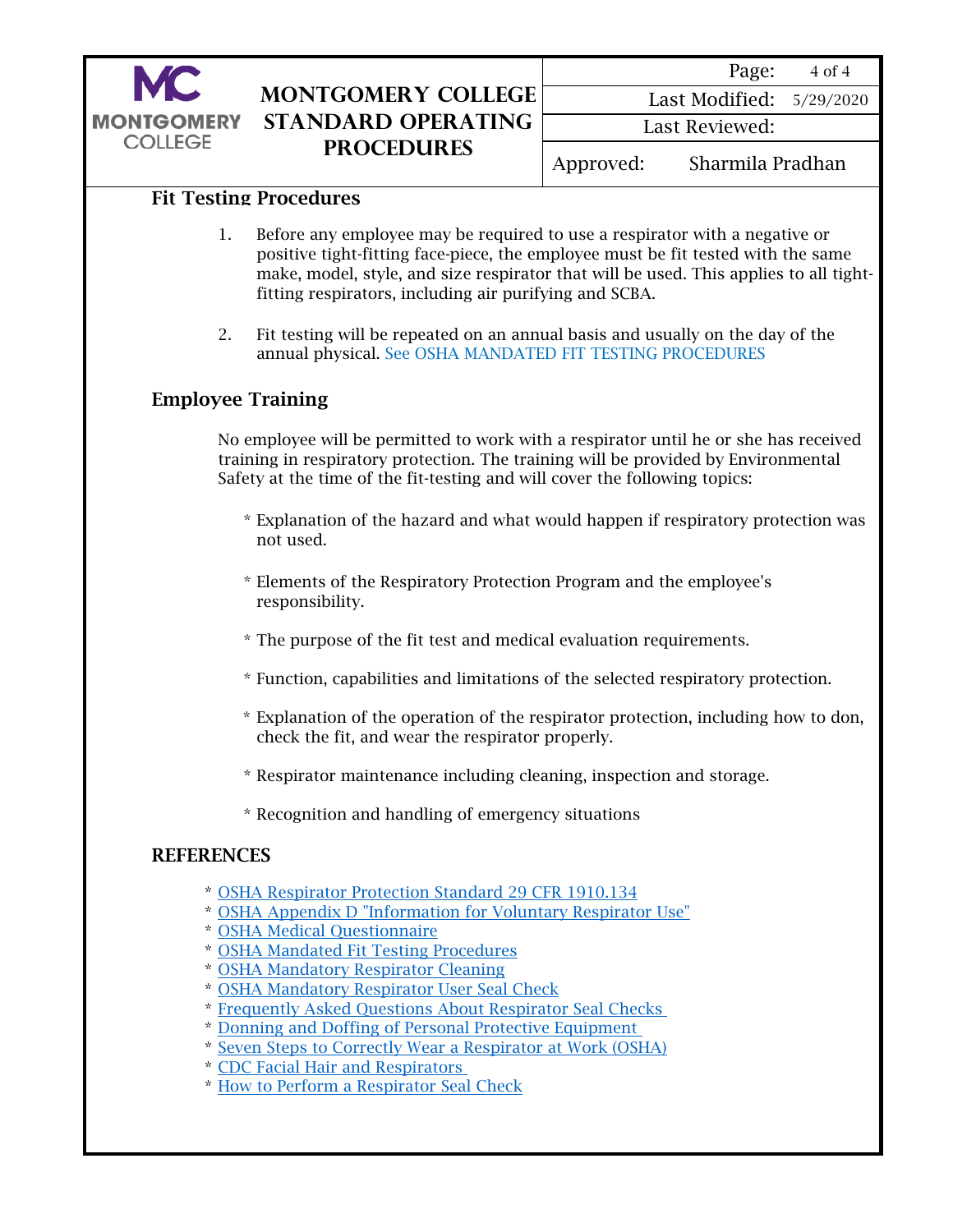

## **Montgomery College Standard Operating Procedures**

|                | Page:                      | 4 of 4 |  |  |
|----------------|----------------------------|--------|--|--|
|                | Last Modified: $5/29/2020$ |        |  |  |
| Last Reviewed: |                            |        |  |  |
| Approved:      | Sharmila Pradhan           |        |  |  |

#### Fit Testing Procedures

- 1. Before any employee may be required to use a respirator with a negative or positive tight-fitting face-piece, the employee must be fit tested with the same make, model, style, and size respirator that will be used. This applies to all tightfitting respirators, including air purifying and SCBA.
- 2. Fit testing will be repeated on an annual basis and usually on the day of the annual physical. [See OSHA MANDATED FIT TESTING PROCEDURES](https://www.montgomerycollege.edu/_documents/offices/facilities/occupation-and-environmental-safety/respiratory-protection-info/appendix-a.pdf)

#### Employee Training

No employee will be permitted to work with a respirator until he or she has received training in respiratory protection. The training will be provided by Environmental Safety at the time of the fit-testing and will cover the following topics:

- \* Explanation of the hazard and what would happen if respiratory protection was not used.
- \* Elements of the Respiratory Protection Program and the employee's responsibility.
- \* The purpose of the fit test and medical evaluation requirements.
- \* Function, capabilities and limitations of the selected respiratory protection.
- \* Explanation of the operation of the respirator protection, including how to don, check the fit, and wear the respirator properly.
- \* Respirator maintenance including cleaning, inspection and storage.
- \* Recognition and handling of emergency situations

#### **REFERENCES**

- \* [OSHA Respirator Protection Standard 29 CFR 1910.134](https://www.osha.gov/laws-regs/regulations/standardnumber/1910/1910.134)
- \* [OSHA Appendix D "Information for Voluntary Respirator Use"](https://www.osha.gov/laws-regs/regulations/standardnumber/1910/1910.134AppD)
- \* [OSHA Medical Questionnaire](https://www.osha.gov/Publications/OSHA3789info.pdf)
- \* [OSHA Mandated Fit Testing Procedures](https://www.montgomerycollege.edu/_documents/offices/facilities/occupation-and-environmental-safety/respiratory-protection-info/appendix-a.pdf)
- \* [OSHA Mandatory Respirator Cleaning](https://www.osha.gov/laws-regs/regulations/standardnumber/1910/1910.134AppB2)
- \* [OSHA Mandatory Respirator User Seal Check](https://www.osha.gov/laws-regs/regulations/standardnumber/1910/1910.134AppB1)
- \* [Frequently Asked Questions About Respirator Seal Checks](https://www.cdc.gov/niosh/docs/2018-130/pdfs/2018-130.pdf?id=10.26616/NIOSHPUB2018130)
- \* [Donning and Doffing of Personal Protective Equipment](https://www.cdc.gov/hai/pdfs/ppe/ppe-sequence.pdf)
- \* [Seven Steps to Correctly Wear a Respirator at Work \(OSHA\)](https://www.osha.gov/Publications/OSHA4015.pdf)
- \* [CDC Facial Hair and Respirators](https://www.cdc.gov/niosh/npptl/pdfs/FacialHairWmask11282017-508.pdf?source=techstories.org)
- \* [How to Perform a Respirator Seal Check](https://www.cdc.gov/niosh/docs/2018-130/pdfs/2018-130.pdf?id=10.26616/NIOSHPUB2018130)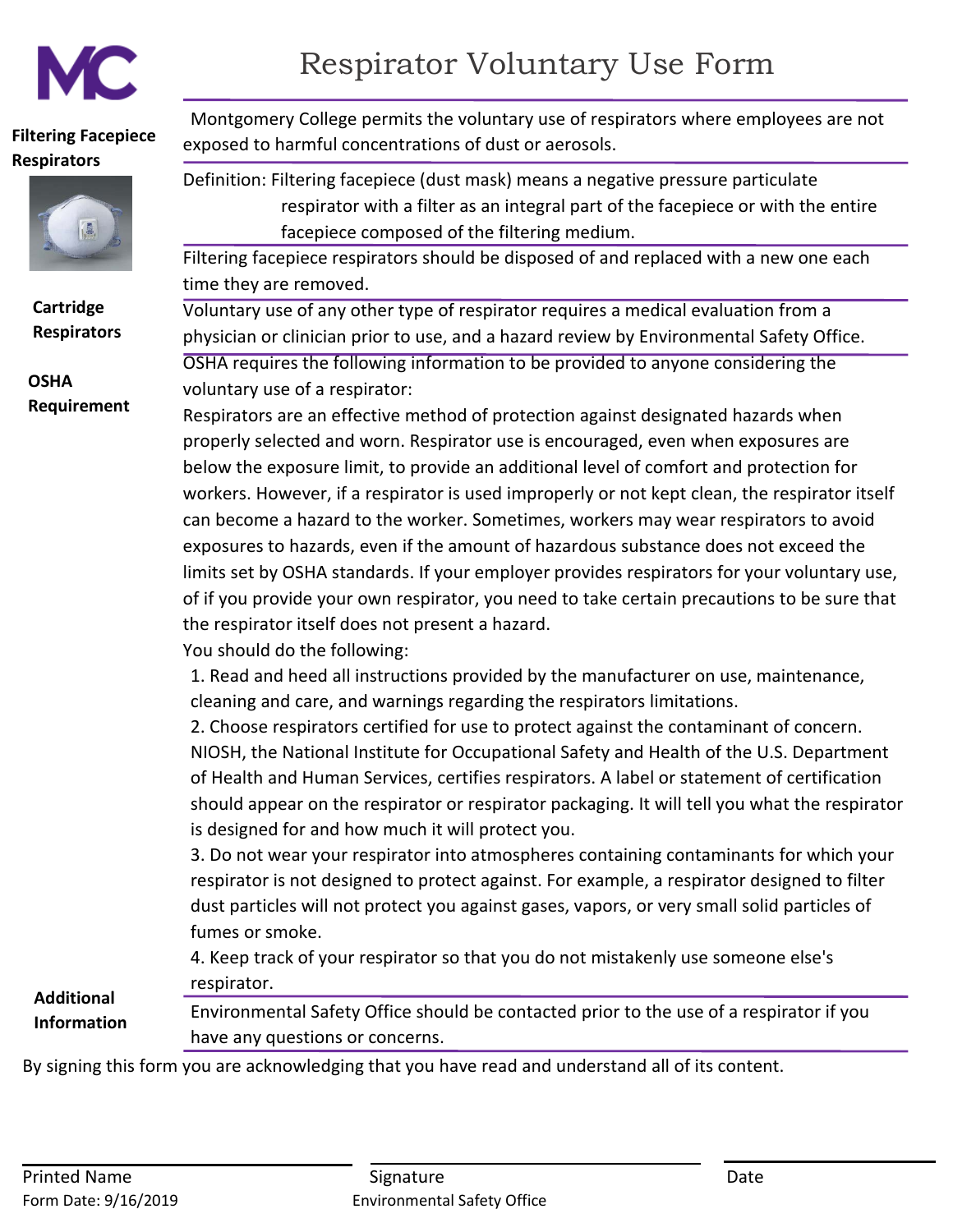<span id="page-4-0"></span>

# Respirator Voluntary Use Form

#### **Filtering Facepiece Respirators**



**Cartridge Respirators**

**OSHA Requirement**

Montgomery College permits the voluntary use of respirators where employees are not exposed to harmful concentrations of dust or aerosols.

Definition: Filtering facepiece (dust mask) means a negative pressure particulate respirator with a filter as an integral part of the facepiece or with the entire facepiece composed of the filtering medium.

Filtering facepiece respirators should be disposed of and replaced with a new one each time they are removed.

Voluntary use of any other type of respirator requires a medical evaluation from a physician or clinician prior to use, and a hazard review by Environmental Safety Office. OSHA requires the following information to be provided to anyone considering the

voluntary use of a respirator:

Respirators are an effective method of protection against designated hazards when properly selected and worn. Respirator use is encouraged, even when exposures are below the exposure limit, to provide an additional level of comfort and protection for workers. However, if a respirator is used improperly or not kept clean, the respirator itself can become a hazard to the worker. Sometimes, workers may wear respirators to avoid exposures to hazards, even if the amount of hazardous substance does not exceed the limits set by OSHA standards. If your employer provides respirators for your voluntary use, of if you provide your own respirator, you need to take certain precautions to be sure that the respirator itself does not present a hazard.

You should do the following:

1. Read and heed all instructions provided by the manufacturer on use, maintenance, cleaning and care, and warnings regarding the respirators limitations.

2. Choose respirators certified for use to protect against the contaminant of concern. NIOSH, the National Institute for Occupational Safety and Health of the U.S. Department of Health and Human Services, certifies respirators. A label or statement of certification should appear on the respirator or respirator packaging. It will tell you what the respirator is designed for and how much it will protect you.

3. Do not wear your respirator into atmospheres containing contaminants for which your respirator is not designed to protect against. For example, a respirator designed to filter dust particles will not protect you against gases, vapors, or very small solid particles of fumes or smoke.

4. Keep track of your respirator so that you do not mistakenly use someone else's respirator.

**Additional Information**

Environmental Safety Office should be contacted prior to the use of a respirator if you have any questions or concerns.

By signing this form you are acknowledging that you have read and understand all of its content.